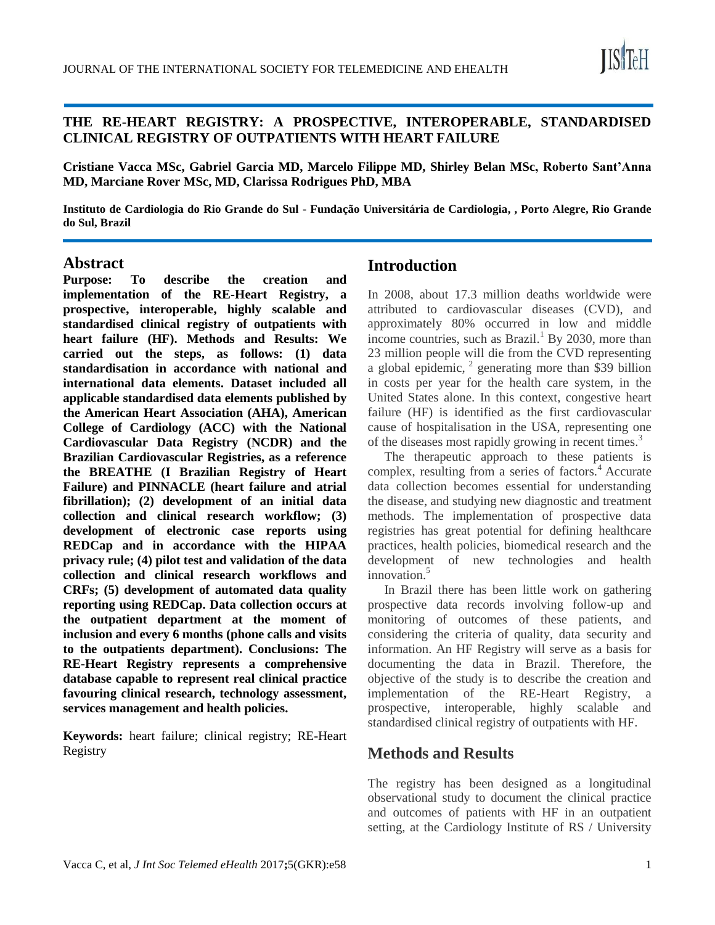

#### **THE RE-HEART REGISTRY: A PROSPECTIVE, INTEROPERABLE, STANDARDISED CLINICAL REGISTRY OF OUTPATIENTS WITH HEART FAILURE**

**Cristiane Vacca MSc, Gabriel Garcia MD, Marcelo Filippe MD, Shirley Belan MSc, Roberto Sant'Anna MD, Marciane Rover MSc, MD, Clarissa Rodrigues PhD, MBA**

**Instituto de Cardiologia do Rio Grande do Sul - Fundação Universitária de Cardiologia, , Porto Alegre, Rio Grande do Sul, Brazil**

#### **Abstract**

**Purpose: To describe the creation and implementation of the RE-Heart Registry, a prospective, interoperable, highly scalable and standardised clinical registry of outpatients with heart failure (HF). Methods and Results: We carried out the steps, as follows: (1) data standardisation in accordance with national and international data elements. Dataset included all applicable standardised data elements published by the American Heart Association (AHA), American College of Cardiology (ACC) with the National Cardiovascular Data Registry (NCDR) and the Brazilian Cardiovascular Registries, as a reference the BREATHE (I Brazilian Registry of Heart Failure) and PINNACLE (heart failure and atrial fibrillation); (2) development of an initial data collection and clinical research workflow; (3) development of electronic case reports using REDCap and in accordance with the HIPAA privacy rule; (4) pilot test and validation of the data collection and clinical research workflows and CRFs; (5) development of automated data quality reporting using REDCap. Data collection occurs at the outpatient department at the moment of inclusion and every 6 months (phone calls and visits to the outpatients department). Conclusions: The RE-Heart Registry represents a comprehensive database capable to represent real clinical practice favouring clinical research, technology assessment, services management and health policies.** 

**Keywords:** heart failure; clinical registry; RE-Heart Registry

## **Introduction**

In 2008, about 17.3 million deaths worldwide were attributed to cardiovascular diseases (CVD), and approximately 80% occurred in low and middle income countries, such as Brazil.<sup>1</sup> By 2030, more than 23 million people will die from the CVD representing a global epidemic,  $2$  generating more than \$39 billion in costs per year for the health care system, in the United States alone. In this context, congestive heart failure (HF) is identified as the first cardiovascular cause of hospitalisation in the USA, representing one of the diseases most rapidly growing in recent times.<sup>3</sup>

The therapeutic approach to these patients is complex, resulting from a series of factors. $4$  Accurate data collection becomes essential for understanding the disease, and studying new diagnostic and treatment methods. The implementation of prospective data registries has great potential for defining healthcare practices, health policies, biomedical research and the development of new technologies and health innovation.<sup>5</sup>

In Brazil there has been little work on gathering prospective data records involving follow-up and monitoring of outcomes of these patients, and considering the criteria of quality, data security and information. An HF Registry will serve as a basis for documenting the data in Brazil. Therefore, the objective of the study is to describe the creation and implementation of the RE-Heart Registry, a prospective, interoperable, highly scalable and standardised clinical registry of outpatients with HF.

### **Methods and Results**

The registry has been designed as a longitudinal observational study to document the clinical practice and outcomes of patients with HF in an outpatient setting, at the Cardiology Institute of RS / University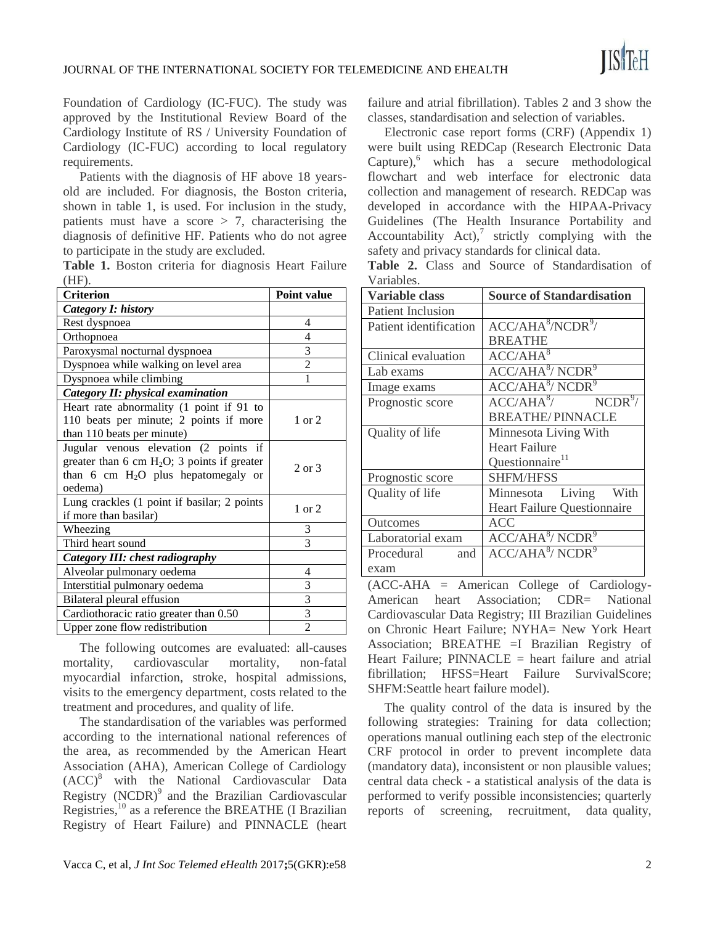Foundation of Cardiology (IC-FUC). The study was approved by the Institutional Review Board of the Cardiology Institute of RS / University Foundation of Cardiology (IC-FUC) according to local regulatory requirements.

Patients with the diagnosis of HF above 18 yearsold are included. For diagnosis, the Boston criteria, shown in table 1, is used. For inclusion in the study, patients must have a score  $> 7$ , characterising the diagnosis of definitive HF. Patients who do not agree to participate in the study are excluded.

|          |  |  | Table 1. Boston criteria for diagnosis Heart Failure |  |
|----------|--|--|------------------------------------------------------|--|
| $(HF)$ . |  |  |                                                      |  |

| <b>Criterion</b>                               | <b>Point value</b> |
|------------------------------------------------|--------------------|
| Category I: history                            |                    |
| Rest dyspnoea                                  | 4                  |
| Orthopnoea                                     | 4                  |
| Paroxysmal nocturnal dyspnoea                  | 3                  |
| Dyspnoea while walking on level area           | $\overline{c}$     |
| Dyspnoea while climbing                        |                    |
| Category II: physical examination              |                    |
| Heart rate abnormality (1 point if 91 to       |                    |
| 110 beats per minute; 2 points if more         | $1 \text{ or } 2$  |
| than 110 beats per minute)                     |                    |
| Jugular venous elevation (2 points if          |                    |
| greater than 6 cm $H_2O$ ; 3 points if greater | 2 or $3$           |
| than 6 cm $H_2O$ plus hepatomegaly or          |                    |
| oedema)                                        |                    |
| Lung crackles (1 point if basilar; 2 points    | $1$ or $2$         |
| if more than basilar)                          |                    |
| Wheezing                                       | 3                  |
| Third heart sound                              | 3                  |
| Category III: chest radiography                |                    |
| Alveolar pulmonary oedema                      | 4                  |
| Interstitial pulmonary oedema                  | 3                  |
| Bilateral pleural effusion                     | $rac{3}{3}$        |
| Cardiothoracic ratio greater than 0.50         |                    |
| Upper zone flow redistribution                 | $\overline{2}$     |

The following outcomes are evaluated: all-causes mortality, cardiovascular mortality, non-fatal myocardial infarction, stroke, hospital admissions, visits to the emergency department, costs related to the treatment and procedures, and quality of life.

The standardisation of the variables was performed according to the international national references of the area, as recommended by the American Heart Association (AHA), American College of Cardiology (ACC)<sup>8</sup> with the National Cardiovascular Data Registry  $(NCDR)^9$  and the Brazilian Cardiovascular Registries, $^{10}$  as a reference the BREATHE (I Brazilian Registry of Heart Failure) and PINNACLE (heart failure and atrial fibrillation). Tables 2 and 3 show the classes, standardisation and selection of variables.

Electronic case report forms (CRF) (Appendix 1) were built using REDCap (Research Electronic Data  $C$ apture), $\delta$  which has a secure methodological flowchart and web interface for electronic data collection and management of research. REDCap was developed in accordance with the HIPAA-Privacy Guidelines (The Health Insurance Portability and Accountability Act), $7 \text{ strictly }$  complying with the safety and privacy standards for clinical data.

|            |  |  | <b>Table 2.</b> Class and Source of Standardisation of |  |
|------------|--|--|--------------------------------------------------------|--|
| Variables. |  |  |                                                        |  |

| <b>Variable class</b>    | <b>Source of Standardisation</b>          |  |  |  |  |  |
|--------------------------|-------------------------------------------|--|--|--|--|--|
| <b>Patient Inclusion</b> |                                           |  |  |  |  |  |
| Patient identification   | ACC/AHA <sup>8</sup> /NCDR <sup>9</sup> / |  |  |  |  |  |
|                          | <b>BREATHE</b>                            |  |  |  |  |  |
| Clinical evaluation      | $ACC/\overline{AHA}^8$                    |  |  |  |  |  |
| Lab exams                | ACC/AHA <sup>8</sup> /NCDR <sup>9</sup>   |  |  |  |  |  |
| Image exams              | ACC/AHA <sup>8</sup> /NCDR <sup>9</sup>   |  |  |  |  |  |
| Prognostic score         | $ACC/AHA^8$ / $NCDR^9$ /                  |  |  |  |  |  |
|                          | <b>BREATHE/PINNACLE</b>                   |  |  |  |  |  |
| Quality of life          | Minnesota Living With                     |  |  |  |  |  |
|                          | <b>Heart Failure</b>                      |  |  |  |  |  |
|                          | Questionnaire <sup>11</sup>               |  |  |  |  |  |
| Prognostic score         | SHFM/HFSS                                 |  |  |  |  |  |
| Quality of life          | Minnesota Living<br>With                  |  |  |  |  |  |
|                          | <b>Heart Failure Questionnaire</b>        |  |  |  |  |  |
| Outcomes                 | ACC                                       |  |  |  |  |  |
| Laboratorial exam        | ACC/AHA <sup>8</sup> /NCDR <sup>9</sup>   |  |  |  |  |  |
| Procedural<br>and        | ACC/AHA <sup>8</sup> /NCDR <sup>9</sup>   |  |  |  |  |  |
| exam                     |                                           |  |  |  |  |  |

(ACC-AHA = American College of Cardiology-American heart Association; CDR= National Cardiovascular Data Registry; III Brazilian Guidelines on Chronic Heart Failure; NYHA= New York Heart Association; BREATHE =I Brazilian Registry of Heart Failure: PINNACLE  $=$  heart failure and atrial fibrillation; HFSS=Heart Failure SurvivalScore; SHFM:Seattle heart failure model).

The quality control of the data is insured by the following strategies: Training for data collection; operations manual outlining each step of the electronic CRF protocol in order to prevent incomplete data (mandatory data), inconsistent or non plausible values; central data check - a statistical analysis of the data is performed to verify possible inconsistencies; quarterly reports of screening, recruitment, data quality,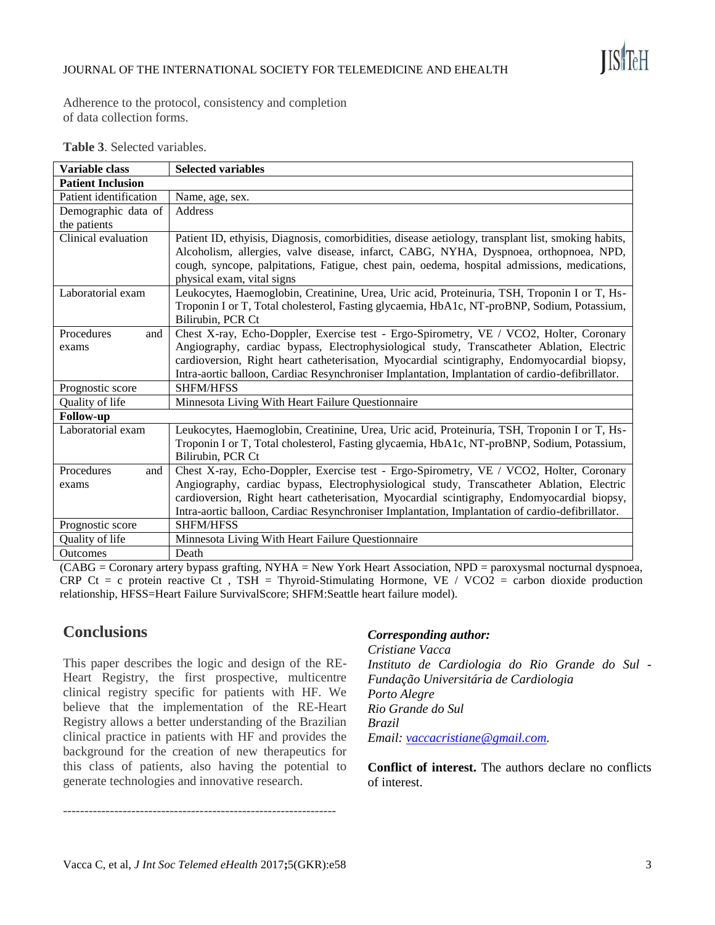

Adherence to the protocol, consistency and completion of data collection forms.

| Variable class           | <b>Selected variables</b>                                                                           |  |  |  |  |
|--------------------------|-----------------------------------------------------------------------------------------------------|--|--|--|--|
| <b>Patient Inclusion</b> |                                                                                                     |  |  |  |  |
| Patient identification   | Name, age, sex.                                                                                     |  |  |  |  |
| Demographic data of      | Address                                                                                             |  |  |  |  |
| the patients             |                                                                                                     |  |  |  |  |
| Clinical evaluation      | Patient ID, ethyisis, Diagnosis, comorbidities, disease aetiology, transplant list, smoking habits, |  |  |  |  |
|                          | Alcoholism, allergies, valve disease, infarct, CABG, NYHA, Dyspnoea, orthopnoea, NPD,               |  |  |  |  |
|                          | cough, syncope, palpitations, Fatigue, chest pain, oedema, hospital admissions, medications,        |  |  |  |  |
|                          | physical exam, vital signs                                                                          |  |  |  |  |
| Laboratorial exam        | Leukocytes, Haemoglobin, Creatinine, Urea, Uric acid, Proteinuria, TSH, Troponin I or T, Hs-        |  |  |  |  |
|                          | Troponin I or T, Total cholesterol, Fasting glycaemia, HbA1c, NT-proBNP, Sodium, Potassium,         |  |  |  |  |
|                          | Bilirubin, PCR Ct                                                                                   |  |  |  |  |
| Procedures<br>and        | Chest X-ray, Echo-Doppler, Exercise test - Ergo-Spirometry, VE / VCO2, Holter, Coronary             |  |  |  |  |
| exams                    | Angiography, cardiac bypass, Electrophysiological study, Transcatheter Ablation, Electric           |  |  |  |  |
|                          | cardioversion, Right heart catheterisation, Myocardial scintigraphy, Endomyocardial biopsy,         |  |  |  |  |
|                          | Intra-aortic balloon, Cardiac Resynchroniser Implantation, Implantation of cardio-defibrillator.    |  |  |  |  |
| Prognostic score         | <b>SHFM/HFSS</b>                                                                                    |  |  |  |  |
| Quality of life          | Minnesota Living With Heart Failure Questionnaire                                                   |  |  |  |  |
| <b>Follow-up</b>         |                                                                                                     |  |  |  |  |
| Laboratorial exam        | Leukocytes, Haemoglobin, Creatinine, Urea, Uric acid, Proteinuria, TSH, Troponin I or T, Hs-        |  |  |  |  |
|                          | Troponin I or T, Total cholesterol, Fasting glycaemia, HbA1c, NT-proBNP, Sodium, Potassium,         |  |  |  |  |
|                          | Bilirubin, PCR Ct                                                                                   |  |  |  |  |
| Procedures<br>and        | Chest X-ray, Echo-Doppler, Exercise test - Ergo-Spirometry, VE / VCO2, Holter, Coronary             |  |  |  |  |
| exams                    | Angiography, cardiac bypass, Electrophysiological study, Transcatheter Ablation, Electric           |  |  |  |  |
|                          | cardioversion, Right heart catheterisation, Myocardial scintigraphy, Endomyocardial biopsy,         |  |  |  |  |
|                          | Intra-aortic balloon, Cardiac Resynchroniser Implantation, Implantation of cardio-defibrillator.    |  |  |  |  |
| Prognostic score         | <b>SHFM/HFSS</b>                                                                                    |  |  |  |  |
| Quality of life          | Minnesota Living With Heart Failure Questionnaire                                                   |  |  |  |  |
| <b>Outcomes</b>          | Death                                                                                               |  |  |  |  |

**Table 3**. Selected variables.

(CABG = Coronary artery bypass grafting, NYHA = New York Heart Association, NPD = paroxysmal nocturnal dyspnoea, CRP Ct = c protein reactive Ct, TSH = Thyroid-Stimulating Hormone, VE / VCO2 = carbon dioxide production relationship, HFSS=Heart Failure SurvivalScore; SHFM:Seattle heart failure model).

## **Conclusions**

This paper describes the logic and design of the RE-Heart Registry, the first prospective, multicentre clinical registry specific for patients with HF. We believe that the implementation of the RE-Heart Registry allows a better understanding of the Brazilian clinical practice in patients with HF and provides the background for the creation of new therapeutics for this class of patients, also having the potential to generate technologies and innovative research.

#### *Corresponding author:*

*Cristiane Vacca Instituto de Cardiologia do Rio Grande do Sul - Fundação Universitária de Cardiologia Porto Alegre Rio Grande do Sul Brazil Email: [vaccacristiane@gmail.com.](mailto:vaccacristiane@gmail.com)*

**Conflict of interest.** The authors declare no conflicts of interest.

----------------------------------------------------------------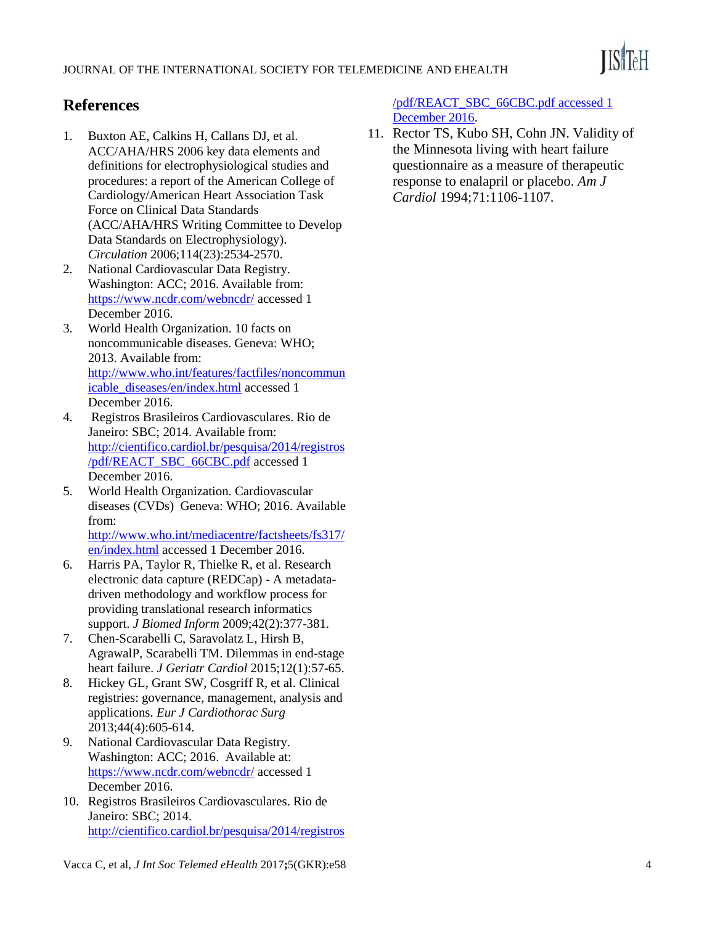

## **References**

- 1. Buxton AE, Calkins H, Callans DJ, et al. ACC/AHA/HRS 2006 key data elements and definitions for electrophysiological studies and procedures: a report of the American College of Cardiology/American Heart Association Task Force on Clinical Data Standards (ACC/AHA/HRS Writing Committee to Develop Data Standards on Electrophysiology). *Circulation* 2006;114(23):2534-2570.
- 2. National Cardiovascular Data Registry. Washington: ACC; 2016. Available from[:](http://h/) [https://www.ncdr.com/webncdr/](http://h/) accessed 1 December 2016.
- 3. World Health Organization. 10 facts on noncommunicable diseases. Geneva: WHO; 2013. Available from[:](http://www.who.int/features/factfiles/noncommunicable_diseases/en/index.html) [http://www.who.int/features/factfiles/noncommun](http://www.who.int/features/factfiles/noncommunicable_diseases/en/index.html) [icable\\_diseases/en/index.html](http://www.who.int/features/factfiles/noncommunicable_diseases/en/index.html) accessed 1 December 2016.
- 4. Registros Brasileiros Cardiovasculares. Rio de Janeiro: SBC; 2014. Available from[:](http://cientifico.cardiol.br/pesquisa/2014/registros/pdf/REACT_SBC_66CBC.pdf) [http://cientifico.cardiol.br/pesquisa/2014/registros](http://cientifico.cardiol.br/pesquisa/2014/registros/pdf/REACT_SBC_66CBC.pdf) [/pdf/REACT\\_SBC\\_66CBC.pdf](http://cientifico.cardiol.br/pesquisa/2014/registros/pdf/REACT_SBC_66CBC.pdf) accessed 1 December 2016.
- 5. World Health Organization. Cardiovascular diseases (CVDs) Geneva: WHO; 2016. Available from[:](http://h/) [http://www.who.int/mediacentre/factsheets/fs317/](http://h/)

en/index.html accessed 1 December 2016.

- 6. Harris PA, Taylor R, Thielke R, et al. Research electronic data capture (REDCap) - A metadatadriven methodology and workflow process for providing translational research informatics support. *J Biomed Inform* 2009;42(2):377-381.
- 7. Chen-Scarabelli C, Saravolatz L, Hirsh B, AgrawalP, Scarabelli TM. Dilemmas in end-stage heart failure. *J Geriatr Cardiol* 2015;12(1):57-65.
- 8. Hickey GL, Grant SW, Cosgriff R, et al. Clinical registries: governance, management, analysis and applications. *Eur J Cardiothorac Surg* 2013;44(4):605-614.
- 9. National Cardiovascular Data Registry. Washington: ACC; 2016. Available at: <https://www.ncdr.com/webncdr/> accessed 1 December 2016.
- 10. Registros Brasileiros Cardiovasculares. Rio de Janeiro: SBC; 2014. [http://cientifico.cardiol.br/pesquisa/2014/registros](http://cientifico.cardiol.br/pesquisa/2014/registros/pdf/REACT_SBC_66CBC.pdf%20accessed%201%20December%202016)

[/pdf/REACT\\_SBC\\_66CBC.pdf accessed 1](http://cientifico.cardiol.br/pesquisa/2014/registros/pdf/REACT_SBC_66CBC.pdf%20accessed%201%20December%202016)  [December 2016.](http://cientifico.cardiol.br/pesquisa/2014/registros/pdf/REACT_SBC_66CBC.pdf%20accessed%201%20December%202016)

11. Rector TS, Kubo SH, Cohn JN. Validity of the Minnesota living with heart failure questionnaire as a measure of therapeutic response to enalapril or placebo. *Am J Cardiol* 1994;71:1106-1107.

Vacca C, et al, *J Int Soc Telemed eHealth* 2017**;**5(GKR):e58 4